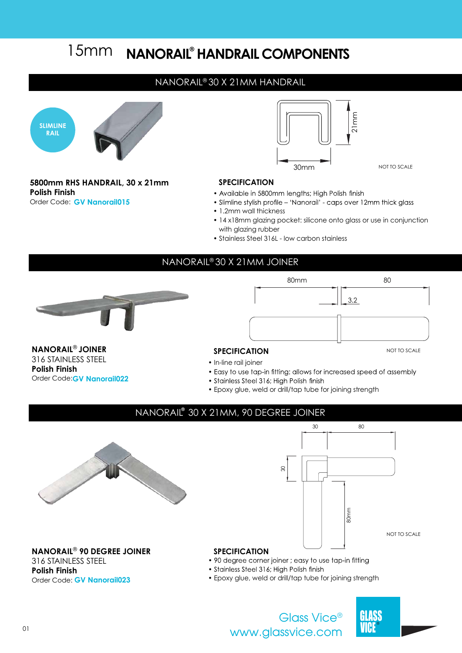## **NANORAIL HANDRAIL COMPONENTS ®** 15mm

## NANORAIL® 30 X 21MM HANDRAIL



**5800mm RHS HANDRAIL, 30 x 21mm SPECIFICATION Polish Finish** Order Code: **GV Nanorail015**



NOT TO SCALE

- Available in 5800mm lengths; High Polish finish
- Slimline stylish profile 'Nanorail' caps over 12mm thick glass
- 1.2mm wall thickness
- 14 x18mm glazing pocket: silicone onto glass or use in conjunction with glazing rubber
- Stainless Steel 316L low carbon stainless

## NANORAIL® 30 X 21MM JOINER



316 STAINLESS STEEL

Order Code: **GV Nanorail022**

**Polish Finish**

80mm 80 3.2

## **NANORAIL<sup>®</sup> JOINER** SPECIFICATION

- **•** In-line rail joiner
- Easy to use tap-in fitting: allows for increased speed of assembly
- Stainless Steel 316; High Polish finish
- Epoxy glue, weld or drill/tap tube for joining strength



# NANORAIL<sup>®</sup> 30 X 21MM, 90 DEGREE JOINER 80mm 30 80 ଟି NOT TO SCALE

- 
- Stainless Steel 316; High Polish finish
- Epoxy glue, weld or drill/tap tube for joining strength



**NANORAIL SPECIFICATION** ®  **90 DEGREE JOINER** 316 STAINLESS STEEL **Polish Finish** Order Code: **GV Nanorail023**

www.glassvice.com